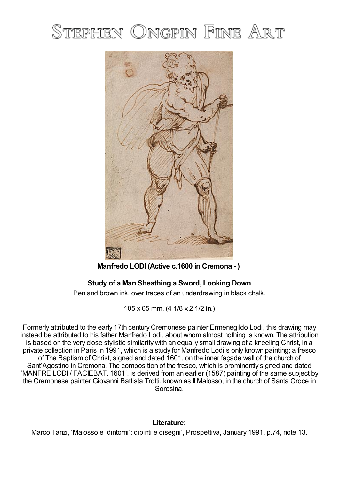## STEPHEN ONGPIN FINE ART



**Manfredo LODI (Active c.1600 in Cremona - )**

## **Study of a Man Sheathing a Sword, Looking Down**

Pen and brown ink, over traces of an underdrawing in black chalk.

105 x 65 mm. (4 1/8 x 2 1/2 in.)

Formerly attributed to the early 17th century Cremonese painter Ermenegildo Lodi, this drawing may instead be attributed to his father Manfredo Lodi, about whom almost nothing is known. The attribution is based on the very close stylistic similarity with an equally small drawing of a kneeling Christ, in a private collection in Paris in 1991, which is a study for Manfredo Lodi's only known painting; a fresco of The Baptism of Christ, signed and dated 1601, on the inner façade wall of the church of Sant'Agostino in Cremona. The composition of the fresco, which is prominently signed and dated 'MANFRE LODI / FACIEBAT. 1601', is derived from an earlier (1587) painting of the same subject by the Cremonese painter Giovanni Battista Trotti, known as Il Malosso, in the church of Santa Croce in Soresina.

## **Literature:**

Marco Tanzi, 'Malosso e 'dintorni': dipinti e disegni', Prospettiva, January 1991, p.74, note 13.